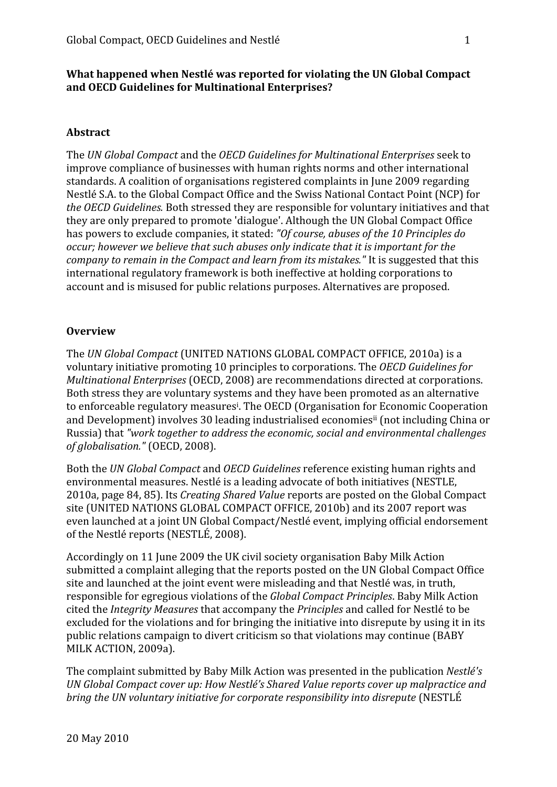## What happened when Nestlé was reported for violating the UN Global Compact **and
OECD
Guidelines
for
Multinational
Enterprises?**

## **Abstract**

The *UN
Global
Compact*and
the *OECD
Guidelines
for
Multinational
Enterprises*seek
to improve
compliance
of
businesses
with
human
rights
norms
and
other
international standards.
A
coalition
of
organisations
registered
complaints
in
June
2009
regarding Nestlé S.A. to the Global Compact Office and the Swiss National Contact Point (NCP) for the OECD Guidelines. Both stressed they are responsible for voluntary initiatives and that they are only prepared to promote 'dialogue'. Although the UN Global Compact Office has
powers
to
exclude
companies,
it
stated: *"Of
course,
abuses
of
the
10
Principles
do*  occur; however we believe that such abuses only indicate that it is important for the company to remain in the Compact and learn from its mistakes." It is suggested that this international
regulatory
framework
is
both
ineffective
at
holding
corporations
to account
and
is
misused
for
public
relations
purposes.
Alternatives
are
proposed.

## **Overview**

The *UN
Global
Compact* (UNITED
NATIONS
GLOBAL
COMPACT
OFFICE,
2010a)
is
a voluntary
initiative
promoting
10
principles
to
corporations.
The *OECD
Guidelines
for*  Multinational Enterprises (OECD, 2008) are recommendations directed at corporations. Both stress they are voluntary systems and they have been promoted as an alternative to enforceable regulatory measures<sup>i</sup>. The OECD (Organisation for Economic Cooperation and Development) involves 30 leading industrialised economies<sup>ii</sup> (not including China or Russia)
that *"work
together
to
address
the
economic,
social
and
environmental
challenges of
globalisation."* (OECD,
2008).

Both
the *UN
Global
Compact*and *OECD
Guidelines*reference
existing
human
rights
and environmental
measures.
Nestlé
is
a
leading
advocate
of
both
initiatives
(NESTLE, 2010a,
page
84,
85).
Its *Creating
Shared
Value* reports
are
posted
on
the
Global
Compact site (UNITED NATIONS GLOBAL COMPACT OFFICE, 2010b) and its 2007 report was even
launched
at
a
joint
UN
Global
Compact/Nestlé
event,
implying
official
endorsement of
the
Nestlé
reports
(NESTLÉ,
2008).

Accordingly
on
11
June
2009
the
UK
civil
society
organisation
Baby
Milk
Action submitted a complaint alleging that the reports posted on the UN Global Compact Office site
and
launched
at
the
joint
event
were
misleading
and
that
Nestlé
was,
in
truth, responsible
for
egregious
violations
of
the *Global
Compact
Principles*.
Baby
Milk
Action cited
the *Integrity
Measures*that
accompany
the *Principles*and
called
for
Nestlé
to
be excluded for the violations and for bringing the initiative into disrepute by using it in its public
relations
campaign
to
divert
criticism
so
that
violations
may
continue
(BABY MILK
ACTION,
2009a).

The
complaint
submitted
by
Baby
Milk
Action
was
presented
in
the
publication *Nestlé's*  UN Global Compact cover up: How Nestlé's Shared Value reports cover up malpractice and bring the UN voluntary initiative for corporate responsibility into disrepute (NESTLÉ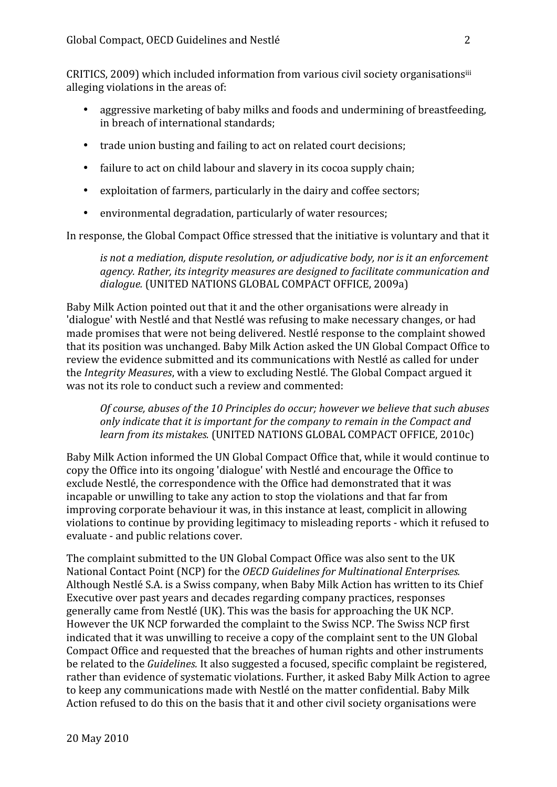CRITICS, 2009) which included information from various civil society organisationsiii alleging
violations
in
the
areas
of:

- aggressive marketing of baby milks and foods and undermining of breastfeeding, in
breach
of
international
standards;
- trade union busting and failing to act on related court decisions;
- failure to act on child labour and slavery in its cocoa supply chain;
- exploitation of farmers, particularly in the dairy and coffee sectors;
- environmental degradation, particularly of water resources;

In response, the Global Compact Office stressed that the initiative is voluntary and that it

is not a mediation, dispute resolution, or adjudicative body, nor is it an enforcement *agency.
Rather,
its
integrity
measures
are
designed
to
facilitate
communication
and*  dialogue. (UNITED NATIONS GLOBAL COMPACT OFFICE, 2009a)

Baby
Milk
Action
pointed
out
that
it
and
the
other
organisations
were
already
in 'dialogue' with Nestlé and that Nestlé was refusing to make necessary changes, or had made
promises
that
were
not
being
delivered.
Nestlé
response
to
the
complaint
showed that
its
position
was
unchanged.
Baby
Milk
Action
asked
the
UN
Global
Compact
Office
to review
the
evidence
submitted
and
its
communications
with
Nestlé
as
called
for
under the *Integrity
Measures*,
with
a
view
to
excluding
Nestlé.
The
Global
Compact
argued
it was not its role to conduct such a review and commented:

Of course, abuses of the 10 Principles do occur; however we believe that such abuses only indicate that it is important for the company to remain in the Compact and *learn from its mistakes.* (UNITED NATIONS GLOBAL COMPACT OFFICE, 2010c)

Baby
Milk
Action
informed
the
UN
Global
Compact
Office
that,
while
it
would
continue
to copy
the
Office
into
its
ongoing
'dialogue'
with
Nestlé
and
encourage
the
Office
to exclude
Nestlé,
the
correspondence
with
the
Office
had
demonstrated
that
it
was incapable
or
unwilling
to
take
any
action
to
stop
the
violations
and
that
far
from improving corporate behaviour it was, in this instance at least, complicit in allowing violations to continue by providing legitimacy to misleading reports - which it refused to evaluate
‐
and
public
relations
cover.

The complaint submitted to the UN Global Compact Office was also sent to the UK National
Contact
Point
(NCP)
for
the *OECD
Guidelines
for
Multinational
Enterprises.* Although
Nestlé
S.A.
is
a
Swiss
company,
when
Baby
Milk
Action
has
written
to
its
Chief Executive over past years and decades regarding company practices, responses generally
came
from
Nestlé
(UK).
This
was
the
basis
for
approaching
the
UK
NCP. However the UK NCP forwarded the complaint to the Swiss NCP. The Swiss NCP first indicated that it was unwilling to receive a copy of the complaint sent to the UN Global Compact
Office
and
requested
that
the
breaches
of
human
rights
and
other
instruments be related to the *Guidelines*. It also suggested a focused, specific complaint be registered, rather
than
evidence
of
systematic
violations.
Further,
it
asked
Baby
Milk
Action
to
agree to
keep
any
communications
made
with
Nestlé
on
the
matter
confidential.
Baby
Milk Action refused to do this on the basis that it and other civil society organisations were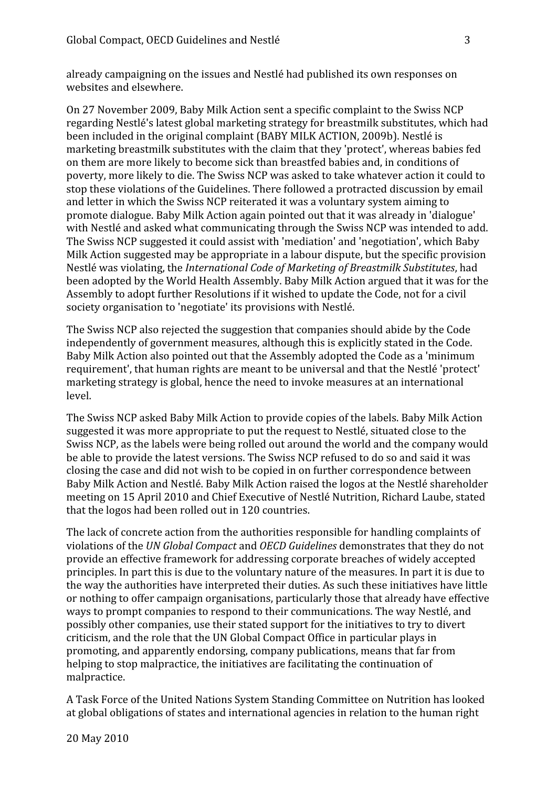already
campaigning
on
the
issues
and
Nestlé
had
published
its
own
responses
on websites
and
elsewhere.

On
27
November
2009,
Baby
Milk
Action
sent
a
specific
complaint
to
the
Swiss
NCP regarding
Nestlé's
latest
global
marketing
strategy
for
breastmilk
substitutes,
which
had been
included
in
the
original
complaint
(BABY
MILK
ACTION,
2009b).
Nestlé
is marketing
breastmilk
substitutes
with
the
claim
that
they
'protect',
whereas
babies
fed on
them
are
more
likely
to
become
sick
than
breastfed
babies
and,
in
conditions
of poverty,
more
likely
to
die.
The
Swiss
NCP
was
asked
to
take
whatever
action
it
could
to stop
these
violations
of
the
Guidelines.
There
followed
a
protracted
discussion
by
email and
letter
in
which
the
Swiss
NCP
reiterated
it
was
a
voluntary
system
aiming
to promote
dialogue.
Baby
Milk
Action
again
pointed
out
that
it
was
already
in
'dialogue' with Nestlé and asked what communicating through the Swiss NCP was intended to add. The
Swiss
NCP
suggested
it
could
assist
with
'mediation'
and
'negotiation',
which
Baby Milk Action suggested may be appropriate in a labour dispute, but the specific provision Nestlé
was
violating,
the *International
Code
of
Marketing
of
Breastmilk
Substitutes*,
had been
adopted
by
the
World
Health
Assembly.
Baby
Milk
Action
argued
that
it
was
for
the Assembly to adopt further Resolutions if it wished to update the Code, not for a civil society
organisation
to
'negotiate'
its
provisions
with
Nestlé.

The
Swiss
NCP
also
rejected
the
suggestion
that
companies
should
abide
by
the
Code independently
of
government
measures,
although
this
is
explicitly
stated
in
the
Code. Baby Milk Action also pointed out that the Assembly adopted the Code as a 'minimum requirement',
that
human
rights
are
meant
to
be
universal
and
that
the
Nestlé
'protect' marketing
strategy
is
global,
hence
the
need
to
invoke
measures
at
an
international level.

The
Swiss
NCP
asked
Baby
Milk
Action
to
provide
copies
of
the
labels.
Baby
Milk
Action suggested it was more appropriate to put the request to Nestlé, situated close to the Swiss
NCP,
as
the
labels
were
being
rolled
out
around
the
world
and
the
company
would be able to provide the latest versions. The Swiss NCP refused to do so and said it was closing
the
case
and
did
not
wish
to
be
copied
in
on
further
correspondence
between Baby
Milk
Action
and
Nestlé.
Baby
Milk
Action
raised
the
logos
at
the
Nestlé
shareholder meeting
on
15
April
2010
and
Chief
Executive
of
Nestlé
Nutrition,
Richard
Laube, stated that
the
logos
had
been
rolled
out
in
120
countries.

The
lack
of
concrete
action
from
the
authorities
responsible
for
handling
complaints
of violations
of
the *UN
Global
Compact*and *OECD
Guidelines*demonstrates
that
they
do
not provide
an
effective
framework
for
addressing
corporate
breaches
of
widely
accepted principles. In part this is due to the voluntary nature of the measures. In part it is due to the way the authorities have interpreted their duties. As such these initiatives have little or nothing to offer campaign organisations, particularly those that already have effective ways to prompt companies to respond to their communications. The way Nestlé, and possibly
other
companies,
use
their
stated
support
for
the
initiatives
to
try
to
divert criticism,
and
the
role
that
the
UN
Global
Compact
Office
in
particular
plays
in promoting,
and
apparently
endorsing,
company
publications,
means
that
far
from helping to stop malpractice, the initiatives are facilitating the continuation of malpractice.

A
Task
Force
of
the
United
Nations
System
Standing
Committee
on
Nutrition
has
looked at
global
obligations
of
states
and
international
agencies
in
relation
to
the
human
right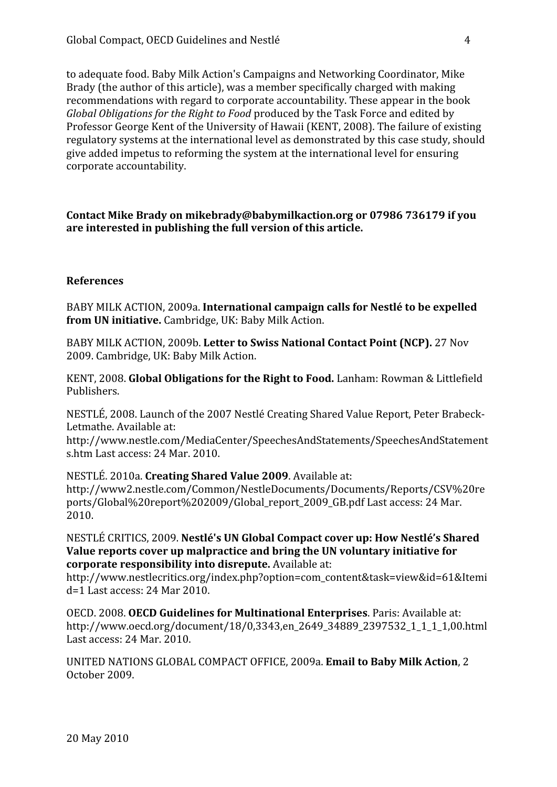to
adequate
food.
Baby
Milk
Action's
Campaigns
and
Networking
Coordinator,
Mike Brady (the author of this article), was a member specifically charged with making recommendations
with
regard
to
corporate
accountability.
These
appear
in
the
book Global Obligations for the Right to Food produced by the Task Force and edited by Professor George Kent of the University of Hawaii (KENT, 2008). The failure of existing regulatory
systems
at
the
international
level
as
demonstrated
by
this
case
study,
should give
added
impetus
to
reforming
the
system
at
the
international
level
for
ensuring corporate
accountability.

Contact Mike Brady on mikebrady@babymilkaction.org or 07986 736179 if you **are
interested
in
publishing
the
full
version
of
this
article.**

## **References**

BABY
MILK
ACTION,
2009a. **International
campaign
calls
for
Nestlé
to
be
expelled**  from UN initiative. Cambridge, UK: Baby Milk Action.

BABY MILK ACTION, 2009b. Letter to Swiss National Contact Point (NCP). 27 Nov 2009.
Cambridge,
UK:
Baby
Milk
Action.

KENT, 2008. Global Obligations for the Right to Food. Lanham: Rowman & Littlefield Publishers.

NESTLÉ, 2008. Launch of the 2007 Nestlé Creating Shared Value Report, Peter Brabeck-Letmathe.
Available
at:

http://www.nestle.com/MediaCenter/SpeechesAndStatements/SpeechesAndStatement s.htm
Last
access:
24
Mar.
2010.

NESTLÉ.
2010a. **Creating
Shared
Value
2009**.
Available
at: http://www2.nestle.com/Common/NestleDocuments/Documents/Reports/CSV%20re ports/Global%20report%202009/Global report 2009 GB.pdf Last access: 24 Mar. 2010.

NESTLÉ
CRITICS,
2009. **Nestlé's
UN
Global
Compact
cover
up:
How
Nestlé's
Shared**  Value reports cover up malpractice and bring the UN voluntary initiative for **corporate
responsibility
into
disrepute.** Available
at:

http://www.nestlecritics.org/index.php?option=com\_content&task=view&id=61&Itemi d=1
Last
access:
24
Mar
2010.

OECD.
2008. **OECD
Guidelines
for
Multinational
Enterprises**.
Paris:
Available
at: http://www.oecd.org/document/18/0,3343,en\_2649\_34889\_2397532\_1\_1\_1\_1,00.html Last
access:
24
Mar.
2010.

UNITED
NATIONS
GLOBAL
COMPACT
OFFICE,
2009a. **Email
to
Baby
Milk
Action**,
2 October
2009.